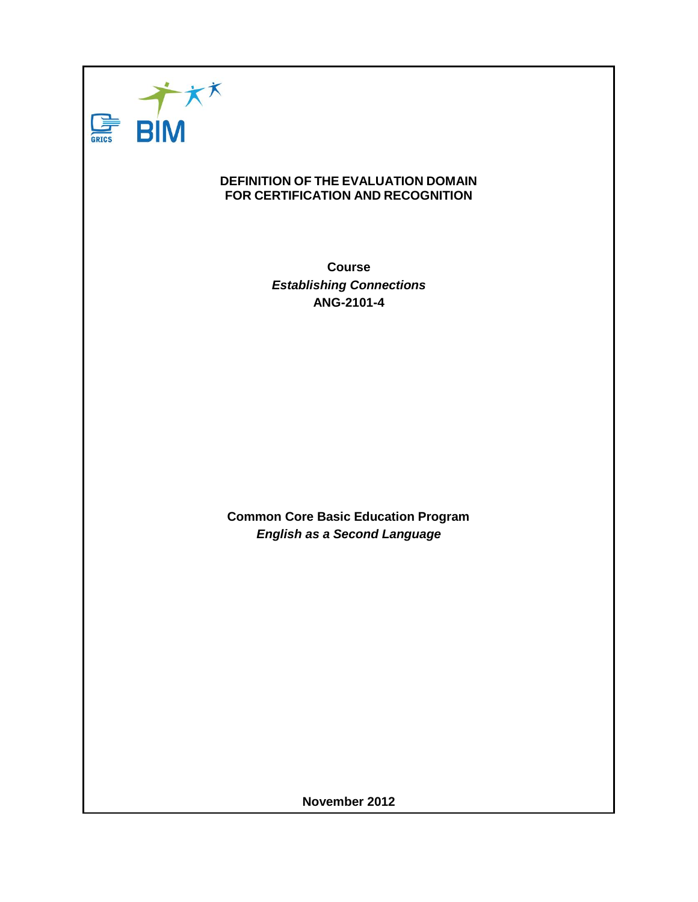

#### **DEFINITION OF THE EVALUATION DOMAIN FOR CERTIFICATION AND RECOGNITION**

**Course** *Establishing Connections* **ANG-2101-4**

**Common Core Basic Education Program** *English as a Second Language*

**November 2012**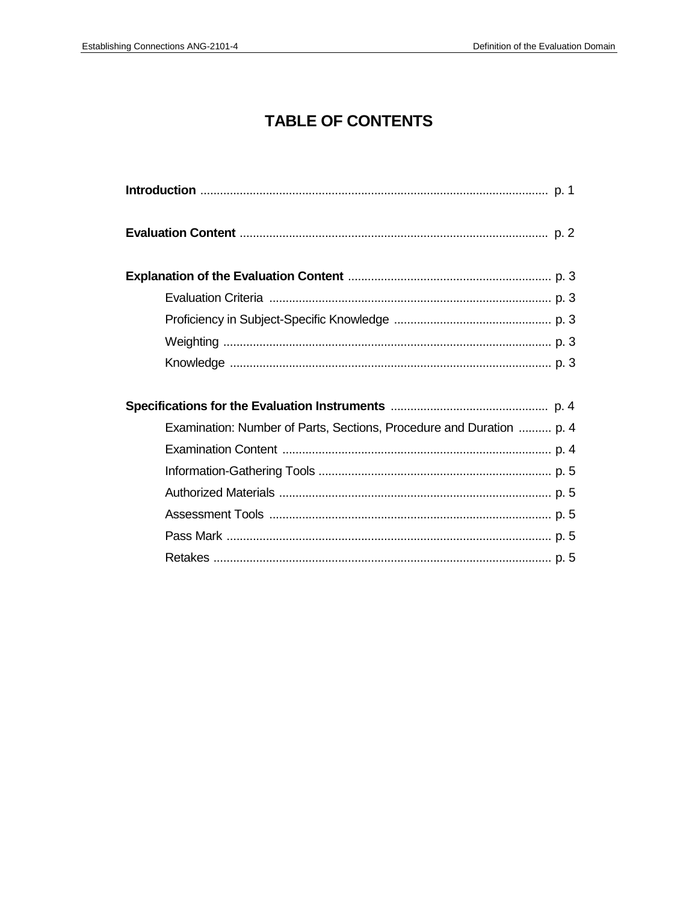# **TABLE OF CONTENTS**

| Examination: Number of Parts, Sections, Procedure and Duration  p. 4 |
|----------------------------------------------------------------------|
|                                                                      |
|                                                                      |
|                                                                      |
|                                                                      |
|                                                                      |
|                                                                      |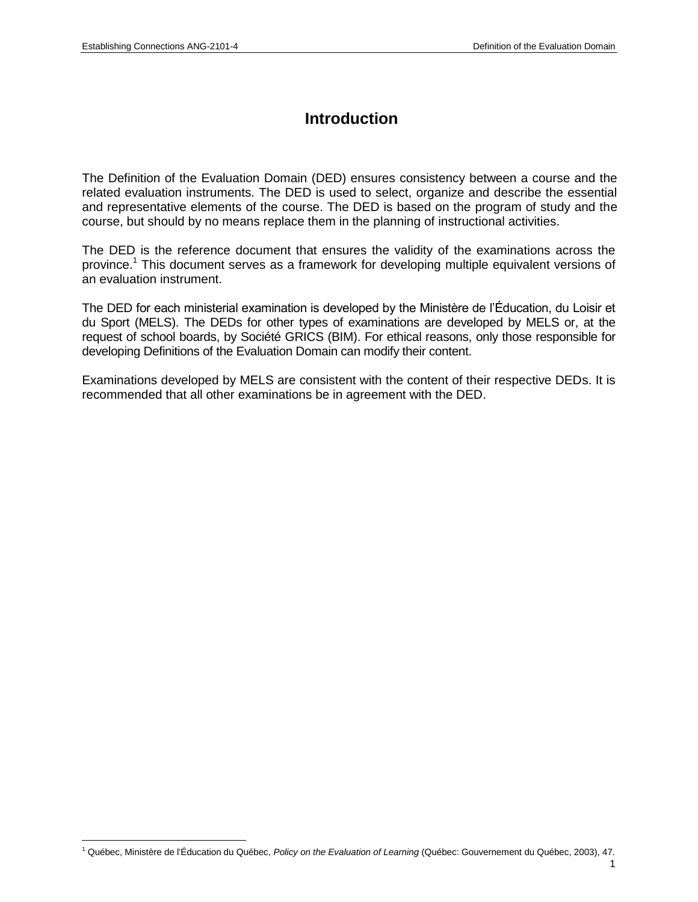### **Introduction**

The Definition of the Evaluation Domain (DED) ensures consistency between a course and the related evaluation instruments. The DED is used to select, organize and describe the essential and representative elements of the course. The DED is based on the program of study and the course, but should by no means replace them in the planning of instructional activities.

The DED is the reference document that ensures the validity of the examinations across the province.<sup>1</sup> This document serves as a framework for developing multiple equivalent versions of an evaluation instrument.

The DED for each ministerial examination is developed by the Ministère de l'Éducation, du Loisir et du Sport (MELS). The DEDs for other types of examinations are developed by MELS or, at the request of school boards, by Société GRICS (BIM). For ethical reasons, only those responsible for developing Definitions of the Evaluation Domain can modify their content.

Examinations developed by MELS are consistent with the content of their respective DEDs. It is recommended that all other examinations be in agreement with the DED.

<sup>1</sup> <sup>1</sup> Québec, Ministère de l'Éducation du Québec, *Policy on the Evaluation of Learning* (Québec: Gouvernement du Québec, 2003), 47.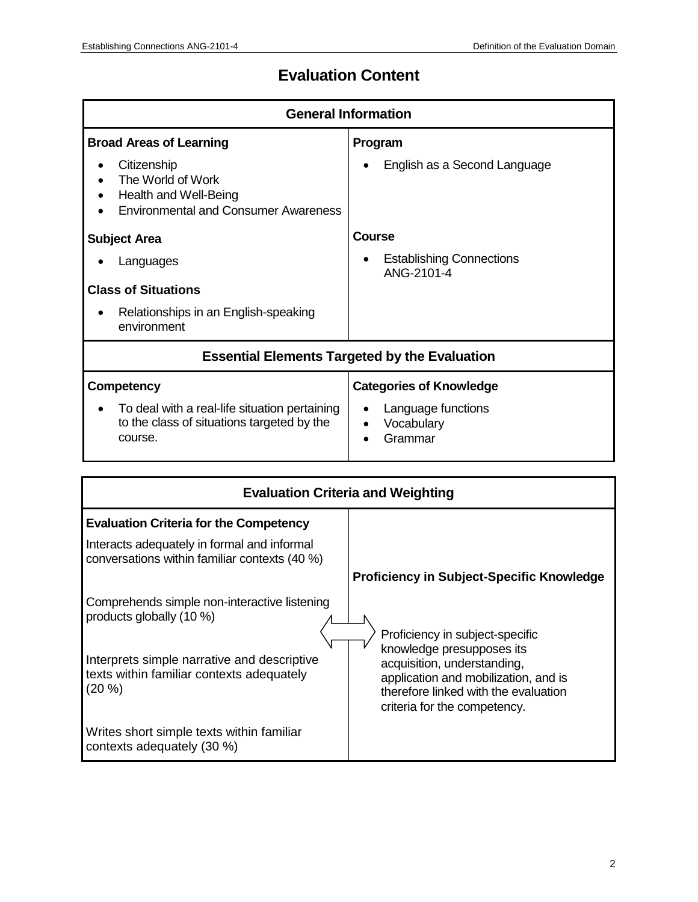# **Evaluation Content**

| <b>General Information</b>                                                                               |                                                          |  |
|----------------------------------------------------------------------------------------------------------|----------------------------------------------------------|--|
| <b>Broad Areas of Learning</b>                                                                           | Program                                                  |  |
| Citizenship<br>The World of Work<br>Health and Well-Being<br><b>Environmental and Consumer Awareness</b> | English as a Second Language                             |  |
| <b>Subject Area</b>                                                                                      | Course                                                   |  |
| Languages                                                                                                | <b>Establishing Connections</b><br>ANG-2101-4            |  |
| <b>Class of Situations</b>                                                                               |                                                          |  |
| Relationships in an English-speaking<br>environment                                                      |                                                          |  |
| <b>Essential Elements Targeted by the Evaluation</b>                                                     |                                                          |  |
| Competency                                                                                               | <b>Categories of Knowledge</b>                           |  |
| To deal with a real-life situation pertaining<br>to the class of situations targeted by the<br>course.   | Language functions<br>Vocabulary<br>$\bullet$<br>Grammar |  |

| <b>Evaluation Criteria and Weighting</b>                                                                                                                                         |                                                                                                                                                                                                             |  |
|----------------------------------------------------------------------------------------------------------------------------------------------------------------------------------|-------------------------------------------------------------------------------------------------------------------------------------------------------------------------------------------------------------|--|
| <b>Evaluation Criteria for the Competency</b>                                                                                                                                    |                                                                                                                                                                                                             |  |
| Interacts adequately in formal and informal<br>conversations within familiar contexts (40 %)                                                                                     |                                                                                                                                                                                                             |  |
|                                                                                                                                                                                  | <b>Proficiency in Subject-Specific Knowledge</b>                                                                                                                                                            |  |
| Comprehends simple non-interactive listening<br>products globally (10 %)<br>Interprets simple narrative and descriptive<br>texts within familiar contexts adequately<br>$(20\%)$ | Proficiency in subject-specific<br>knowledge presupposes its<br>acquisition, understanding,<br>application and mobilization, and is<br>therefore linked with the evaluation<br>criteria for the competency. |  |
| Writes short simple texts within familiar<br>contexts adequately (30 %)                                                                                                          |                                                                                                                                                                                                             |  |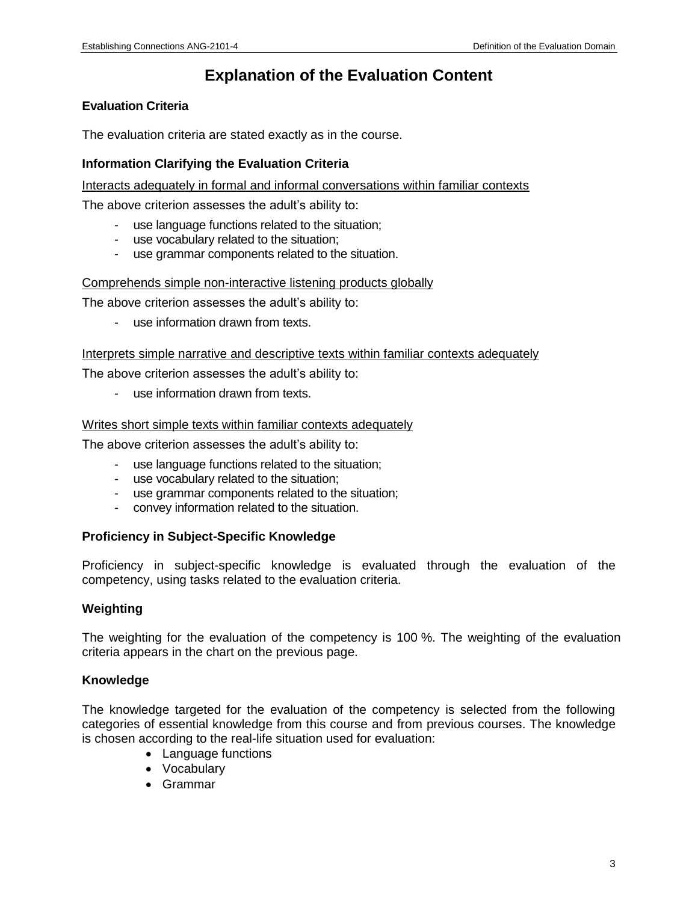## **Explanation of the Evaluation Content**

#### **Evaluation Criteria**

The evaluation criteria are stated exactly as in the course.

#### **Information Clarifying the Evaluation Criteria**

Interacts adequately in formal and informal conversations within familiar contexts

The above criterion assesses the adult's ability to:

- use language functions related to the situation;
- use vocabulary related to the situation;
- use grammar components related to the situation.

#### Comprehends simple non-interactive listening products globally

The above criterion assesses the adult's ability to:

- use information drawn from texts.

#### Interprets simple narrative and descriptive texts within familiar contexts adequately

The above criterion assesses the adult's ability to:

- use information drawn from texts.

#### Writes short simple texts within familiar contexts adequately

The above criterion assesses the adult's ability to:

- use language functions related to the situation;
- use vocabulary related to the situation;
- use grammar components related to the situation;
- convey information related to the situation.

#### **Proficiency in Subject-Specific Knowledge**

Proficiency in subject-specific knowledge is evaluated through the evaluation of the competency, using tasks related to the evaluation criteria.

#### **Weighting**

The weighting for the evaluation of the competency is 100 %. The weighting of the evaluation criteria appears in the chart on the previous page.

#### **Knowledge**

The knowledge targeted for the evaluation of the competency is selected from the following categories of essential knowledge from this course and from previous courses. The knowledge is chosen according to the real-life situation used for evaluation:

- Language functions
- Vocabulary
- Grammar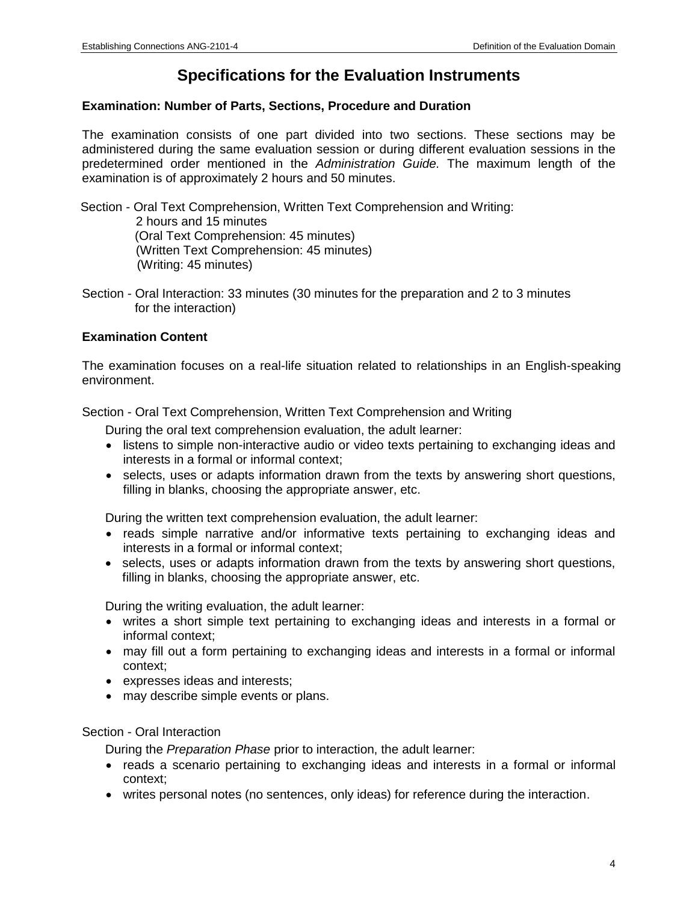## **Specifications for the Evaluation Instruments**

#### **Examination: Number of Parts, Sections, Procedure and Duration**

The examination consists of one part divided into two sections. These sections may be administered during the same evaluation session or during different evaluation sessions in the predetermined order mentioned in the *Administration Guide.* The maximum length of the examination is of approximately 2 hours and 50 minutes.

Section - Oral Text Comprehension, Written Text Comprehension and Writing: 2 hours and 15 minutes (Oral Text Comprehension: 45 minutes) (Written Text Comprehension: 45 minutes) (Writing: 45 minutes)

Section - Oral Interaction: 33 minutes (30 minutes for the preparation and 2 to 3 minutes for the interaction)

#### **Examination Content**

The examination focuses on a real-life situation related to relationships in an English-speaking environment.

Section - Oral Text Comprehension, Written Text Comprehension and Writing

During the oral text comprehension evaluation, the adult learner:

- listens to simple non-interactive audio or video texts pertaining to exchanging ideas and interests in a formal or informal context;
- selects, uses or adapts information drawn from the texts by answering short questions, filling in blanks, choosing the appropriate answer, etc.

During the written text comprehension evaluation, the adult learner:

- reads simple narrative and/or informative texts pertaining to exchanging ideas and interests in a formal or informal context;
- selects, uses or adapts information drawn from the texts by answering short questions, filling in blanks, choosing the appropriate answer, etc.

During the writing evaluation, the adult learner:

- writes a short simple text pertaining to exchanging ideas and interests in a formal or informal context;
- may fill out a form pertaining to exchanging ideas and interests in a formal or informal context;
- expresses ideas and interests;
- may describe simple events or plans.

#### Section - Oral Interaction

During the *Preparation Phase* prior to interaction, the adult learner:

- reads a scenario pertaining to exchanging ideas and interests in a formal or informal context;
- writes personal notes (no sentences, only ideas) for reference during the interaction.